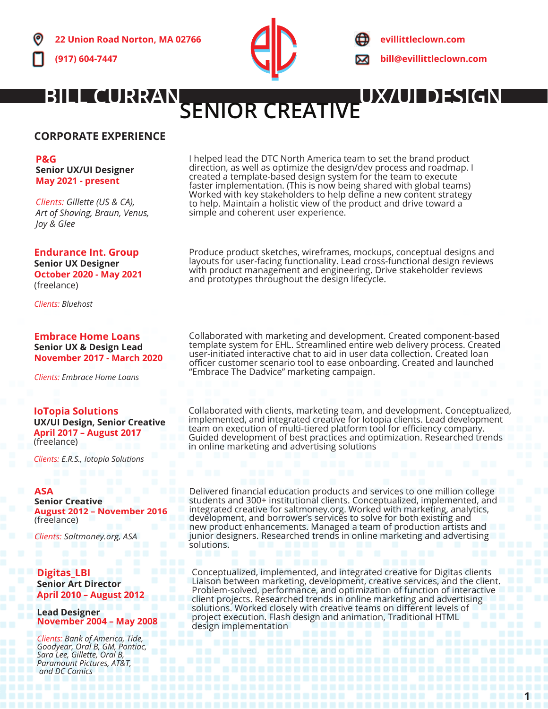

**evillittleclown.com bill@evillittleclown.com**

# **BILL CURRAN<br>SENIOR CREATIVE**

# **CORPORATE EXPERIENCE**

**P&G Senior UX/UI Designer May 2021 - present**

*Clients: Gillette (US & CA), Art of Shaving, Braun, Venus, Joy & Glee*

**Endurance Int. Group Senior UX Designer October 2020 - May 2021** (freelance)

*Clients: Bluehost*

#### **Embrace Home Loans Senior UX & Design Lead**

**November 2017 - March 2020**

*Clients: Embrace Home Loans*

**IoTopia Solutions UX/UI Design, Senior Creative April 2017 – August 2017** (freelance)

*Clients: E.R.S., Iotopia Solutions*

### **ASA**

**Senior Creative August 2012 - Nover** (freelance)

*Clients: Saltmoney.org, ASA*

# **Digitas\_LBI**

**Senior Art Director April 2010 – August 2012**

**Lead Designer November 2004 – May 2008**

*Clients: Bank of America, Tide, Goodyear, Oral B, GM, Pontiac, Sara Lee, Gillette, Oral B, Paramount Pictures, AT&T, and DC Comics*

I helped lead the DTC North America team to set the brand product direction, as well as optimize the design/dev process and roadmap. I created a template-based design system for the team to execute faster implementation. (This is now being shared with global teams) Worked with key stakeholders to help define a new content strategy to help. Maintain a holistic view of the product and drive toward a simple and coherent user experience.

Produce product sketches, wireframes, mockups, conceptual designs and layouts for user-facing functionality. Lead cross-functional design reviews with product management and engineering. Drive stakeholder reviews and prototypes throughout the design lifecycle.

Collaborated with marketing and development. Created component-based template system for EHL. Streamlined entire web delivery process. Created user-initiated interactive chat to aid in user data collection. Created loan officer customer scenario tool to ease onboarding. Created and launched "Embrace The Dadvice" marketing campaign.

Collaborated with clients, marketing team, and development. Conceptualized, implemented, and integrated creative for Iotopia clients. Lead development team on execution of multi-tiered platform tool for efficiency company. Guided development of best practices and optimization. Researched trends in online marketing and advertising solutions

Delivered financial education products and services to one million college students and 300+ institutional clients. Conceptualized, implemented, and integrated creative for saltmoney.org. Worked with marketing, analytics, development, and borrower's services to solve for both existing and new product enhancements. Managed a team of production artists and junior designers. Researched trends in online marketing and advertising solutions.

Conceptualized, implemented, and integrated creative for Digitas clients Liaison between marketing, development, creative services, and the client. Problem-solved, performance, and optimization of function of interactive client projects. Researched trends in online marketing and advertising solutions. Worked closely with creative teams on different levels of project execution. Flash design and animation, Traditional HTML design implementation

**1**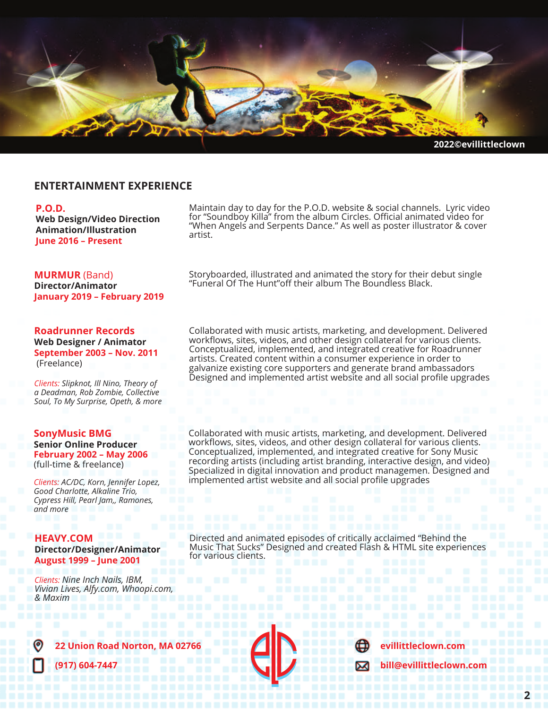

### **ENTERTAINMENT EXPERIENCE**

#### **P.O.D.**

**Web Design/Video Direction Animation/Illustration June 2016 – Present**

**MURMUR** (Band) **Director/Animator January 2019 – February 2019**

#### **Roadrunner Records Web Designer / Animator September 2003 – Nov. 2011** (Freelance)

*Clients: Slipknot, Ill Nino, Theory of a Deadman, Rob Zombie, Collective Soul, To My Surprise, Opeth, & more*

#### **SonyMusic BMG Senior Online Producer February 2002 – May 2006** (full-time & freelance)

*Clients: AC/DC, Korn, Jennifer Lopez, Good Charlotte, Alkaline Trio, Cypress Hill, Pearl Jam,, Ramones, and more*

#### **HEAVY.COM**

#### **Director/Designer/Animator August 1999 – June 2001**

*Clients: Nine Inch Nails, IBM, Vivian Lives, Alfy.com, Whoopi.com, & Maxim*

Maintain day to day for the P.O.D. website & social channels. Lyric video for "Soundboy Killa" from the album Circles. Official animated video for "When Angels and Serpents Dance." As well as poster illustrator & cover artist.

Storyboarded, illustrated and animated the story for their debut single "Funeral Of The Hunt"off their album The Boundless Black.

Collaborated with music artists, marketing, and development. Delivered workflows, sites, videos, and other design collateral for various clients. Conceptualized, implemented, and integrated creative for Roadrunner artists. Created content within a consumer experience in order to galvanize existing core supporters and generate brand ambassadors Designed and implemented artist website and all social profile upgrades

Collaborated with music artists, marketing, and development. Delivered workflows, sites, videos, and other design collateral for various clients. Conceptualized, implemented, and integrated creative for Sony Music recording artists (including artist branding, interactive design, and video) Specialized in digital innovation and product managemen. Designed and implemented artist website and all social profile upgrades

Directed and animated episodes of critically acclaimed "Behind the Music That Sucks" Designed and created Flash & HTML site experiences for various clients.



**22 Union Road Norton, MA 02766**

**(917) 604-7447**





**evillittleclown.com**

**bill@evillittleclown.com**